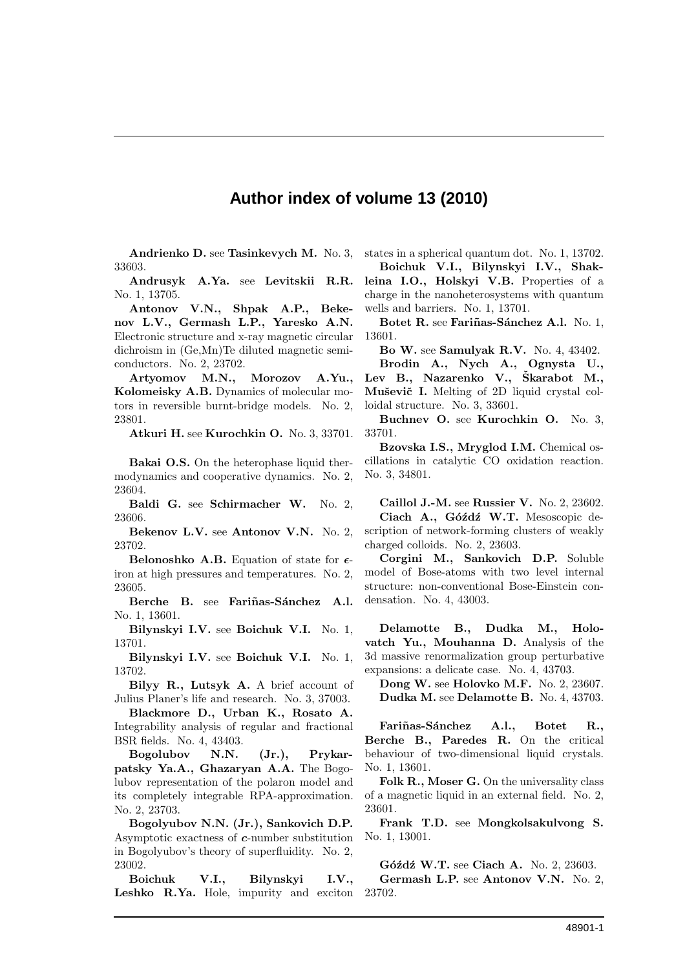## **Author index of volume 13 (2010)**

Andrienko D. see Tasinkevych M. No. 3, 33603.

Andrusyk A.Ya. see Levitskii R.R. No. 1, 13705.

Antonov V.N., Shpak A.P., Bekenov L.V., Germash L.P., Yaresko A.N. Electronic structure and x-ray magnetic circular dichroism in (Ge,Mn)Te diluted magnetic semiconductors. No. 2, 23702.

Artyomov M.N., Morozov A.Yu., Kolomeisky A.B. Dynamics of molecular motors in reversible burnt-bridge models. No. 2, 23801.

Atkuri H. see Kurochkin O. No. 3, 33701.

Bakai O.S. On the heterophase liquid thermodynamics and cooperative dynamics. No. 2, 23604.

Baldi G. see Schirmacher W. No. 2, 23606.

Bekenov L.V. see Antonov V.N. No. 2, 23702.

Belonoshko A.B. Equation of state for  $\epsilon$ iron at high pressures and temperatures. No. 2, 23605.

Berche B. see Fariñas-Sánchez A.l. No. 1, 13601.

Bilynskyi I.V. see Boichuk V.I. No. 1, 13701.

Bilynskyi I.V. see Boichuk V.I. No. 1, 13702.

Bilyy R., Lutsyk A. A brief account of Julius Planer's life and research. No. 3, 37003.

Blackmore D., Urban K., Rosato A. Integrability analysis of regular and fractional BSR fields. No. 4, 43403.

Bogolubov N.N. (Jr.), Prykarpatsky Ya.A., Ghazaryan A.A. The Bogolubov representation of the polaron model and its completely integrable RPA-approximation. No. 2, 23703.

Bogolyubov N.N. (Jr.), Sankovich D.P. Asymptotic exactness of c-number substitution in Bogolyubov's theory of superfluidity. No. 2, 23002.

Boichuk V.I., Bilynskyi I.V., Leshko R.Ya. Hole, impurity and exciton

states in a spherical quantum dot. No. 1, 13702.

Boichuk V.I., Bilynskyi I.V., Shakleina I.O., Holskyi V.B. Properties of a charge in the nanoheterosystems with quantum wells and barriers. No. 1, 13701.

Botet R. see Fariñas-Sánchez A.l. No. 1, 13601.

Bo W. see Samulyak R.V. No. 4, 43402.

Brodin A., Nych A., Ognysta U., Lev B., Nazarenko V., Škarabot M., Muševič I. Melting of 2D liquid crystal colloidal structure. No. 3, 33601.

Buchnev O. see Kurochkin O. No. 3, 33701.

Bzovska I.S., Mryglod I.M. Chemical oscillations in catalytic CO oxidation reaction. No. 3, 34801.

Caillol J.-M. see Russier V. No. 2, 23602. Ciach A., Góźdź W.T. Mesoscopic description of network-forming clusters of weakly charged colloids. No. 2, 23603.

Corgini M., Sankovich D.P. Soluble model of Bose-atoms with two level internal structure: non-conventional Bose-Einstein condensation. No. 4, 43003.

Delamotte B., Dudka M., Holovatch Yu., Mouhanna D. Analysis of the 3d massive renormalization group perturbative expansions: a delicate case. No. 4, 43703.

Dong W. see Holovko M.F. No. 2, 23607. Dudka M. see Delamotte B. No. 4, 43703.

Fariñas-Sánchez A.l., Botet R., Berche B., Paredes R. On the critical behaviour of two-dimensional liquid crystals. No. 1, 13601.

Folk R., Moser G. On the universality class of a magnetic liquid in an external field. No. 2, 23601.

Frank T.D. see Mongkolsakulvong S. No. 1, 13001.

Góźdź W.T. see Ciach A. No. 2, 23603. Germash L.P. see Antonov V.N. No. 2,

23702.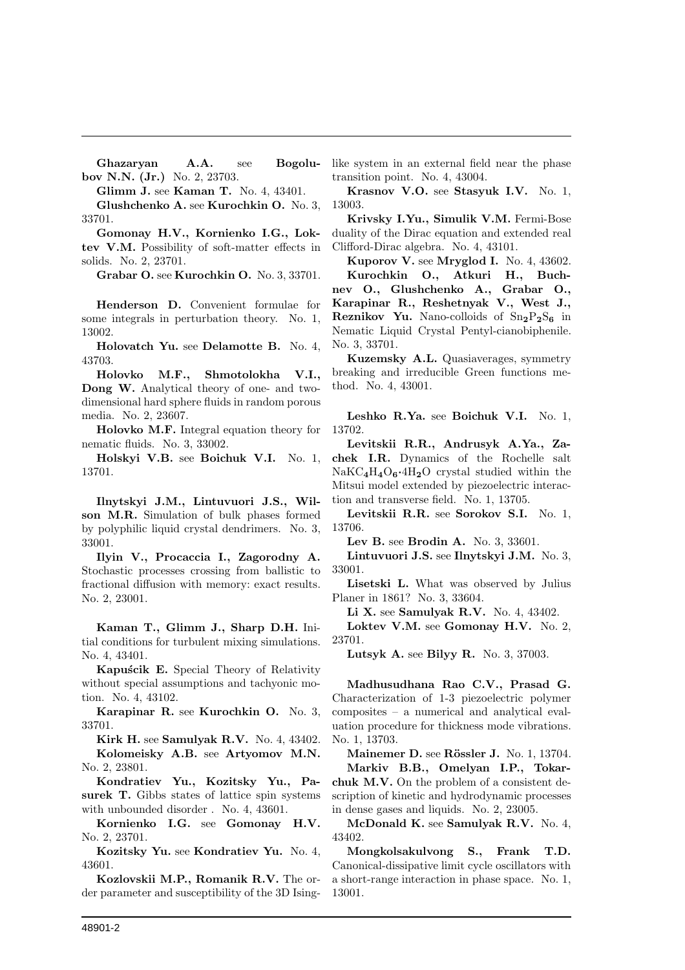Ghazaryan A.A. see Bogolubov N.N. (Jr.) No. 2, 23703.

Glimm J. see Kaman T. No. 4, 43401.

Glushchenko A. see Kurochkin O. No. 3, 33701.

Gomonay H.V., Kornienko I.G., Loktev V.M. Possibility of soft-matter effects in solids. No. 2, 23701.

Grabar O. see Kurochkin O. No. 3, 33701.

Henderson D. Convenient formulae for some integrals in perturbation theory. No. 1, 13002.

Holovatch Yu. see Delamotte B. No. 4, 43703.

Holovko M.F., Shmotolokha V.I., Dong W. Analytical theory of one- and twodimensional hard sphere fluids in random porous media. No. 2, 23607.

Holovko M.F. Integral equation theory for nematic fluids. No. 3, 33002.

Holskyi V.B. see Boichuk V.I. No. 1, 13701.

Ilnytskyi J.M., Lintuvuori J.S., Wilson M.R. Simulation of bulk phases formed by polyphilic liquid crystal dendrimers. No. 3, 33001.

Ilyin V., Procaccia I., Zagorodny A. Stochastic processes crossing from ballistic to fractional diffusion with memory: exact results. No. 2, 23001.

Kaman T., Glimm J., Sharp D.H. Initial conditions for turbulent mixing simulations. No. 4, 43401.

Kapuścik E. Special Theory of Relativity without special assumptions and tachyonic motion. No. 4, 43102.

Karapinar R. see Kurochkin O. No. 3, 33701.

Kirk H. see Samulyak R.V. No. 4, 43402. Kolomeisky A.B. see Artyomov M.N. No. 2, 23801.

Kondratiev Yu., Kozitsky Yu., Pasurek T. Gibbs states of lattice spin systems with unbounded disorder . No. 4, 43601.

Kornienko I.G. see Gomonay H.V. No. 2, 23701.

Kozitsky Yu. see Kondratiev Yu. No. 4, 43601.

Kozlovskii M.P., Romanik R.V. The order parameter and susceptibility of the 3D Isinglike system in an external field near the phase transition point. No. 4, 43004.

Krasnov V.O. see Stasyuk I.V. No. 1, 13003.

Krivsky I.Yu., Simulik V.M. Fermi-Bose duality of the Dirac equation and extended real Clifford-Dirac algebra. No. 4, 43101.

Kuporov V. see Mryglod I. No. 4, 43602. Kurochkin O., Atkuri H., Buchnev O., Glushchenko A., Grabar O., Karapinar R., Reshetnyak V., West J., **Reznikov Yu.** Nano-colloids of  $Sn<sub>2</sub>P<sub>2</sub>S<sub>6</sub>$  in Nematic Liquid Crystal Pentyl-cianobiphenile. No. 3, 33701.

Kuzemsky A.L. Quasiaverages, symmetry breaking and irreducible Green functions method. No. 4, 43001.

Leshko R.Ya. see Boichuk V.I. No. 1, 13702.

Levitskii R.R., Andrusyk A.Ya., Zachek I.R. Dynamics of the Rochelle salt  $NaKC<sub>4</sub>H<sub>4</sub>O<sub>6</sub>·4H<sub>2</sub>O$  crystal studied within the Mitsui model extended by piezoelectric interaction and transverse field. No. 1, 13705.

Levitskii R.R. see Sorokov S.I. No. 1, 13706.

Lev B. see Brodin A. No. 3, 33601.

Lintuvuori J.S. see Ilnytskyi J.M. No. 3, 33001.

Lisetski L. What was observed by Julius Planer in 1861? No. 3, 33604.

Li X. see Samulyak R.V. No. 4, 43402.

Loktev V.M. see Gomonay H.V. No. 2, 23701.

Lutsyk A. see Bilyy R. No. 3, 37003.

Madhusudhana Rao C.V., Prasad G. Characterization of 1-3 piezoelectric polymer composites – a numerical and analytical evaluation procedure for thickness mode vibrations. No. 1, 13703.

Mainemer D. see Rössler J. No. 1, 13704. Markiv B.B., Omelyan I.P., Tokarchuk M.V. On the problem of a consistent description of kinetic and hydrodynamic processes in dense gases and liquids. No. 2, 23005.

McDonald K. see Samulyak R.V. No. 4, 43402.

Mongkolsakulvong S., Frank T.D. Canonical-dissipative limit cycle oscillators with a short-range interaction in phase space. No. 1, 13001.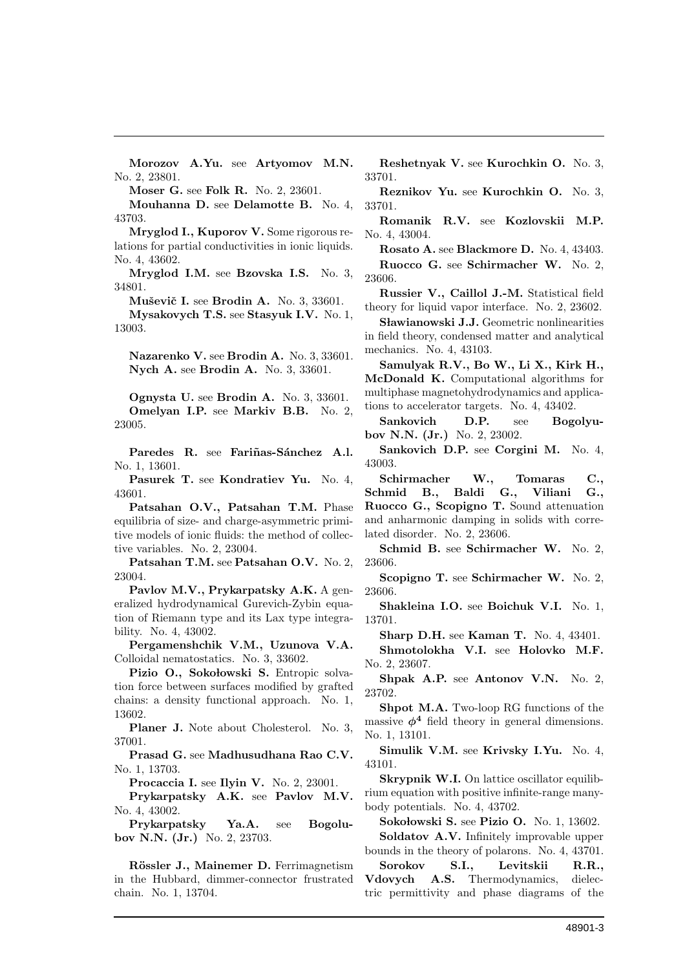Morozov A.Yu. see Artyomov M.N. No. 2, 23801.

Moser G. see Folk R. No. 2, 23601.

Mouhanna D. see Delamotte B. No. 4, 43703.

Mryglod I., Kuporov V. Some rigorous relations for partial conductivities in ionic liquids. No. 4, 43602.

Mryglod I.M. see Bzovska I.S. No. 3, 34801.

Muševič I. see Brodin A. No. 3, 33601. Mysakovych T.S. see Stasyuk I.V. No. 1, 13003.

Nazarenko V. see Brodin A. No. 3, 33601. Nych A. see Brodin A. No. 3, 33601.

Ognysta U. see Brodin A. No. 3, 33601. Omelyan I.P. see Markiv B.B. No. 2, 23005.

Paredes R. see Fariñas-Sánchez A.l. No. 1, 13601.

Pasurek T. see Kondratiev Yu. No. 4, 43601.

Patsahan O.V., Patsahan T.M. Phase equilibria of size- and charge-asymmetric primitive models of ionic fluids: the method of collective variables. No. 2, 23004.

Patsahan T.M. see Patsahan O.V. No. 2, 23004.

Pavlov M.V., Prykarpatsky A.K. A generalized hydrodynamical Gurevich-Zybin equation of Riemann type and its Lax type integrability. No. 4, 43002.

Pergamenshchik V.M., Uzunova V.A. Colloidal nematostatics. No. 3, 33602.

Pizio O., Sokołowski S. Entropic solvation force between surfaces modified by grafted chains: a density functional approach. No. 1, 13602.

Planer J. Note about Cholesterol. No. 3, 37001.

Prasad G. see Madhusudhana Rao C.V. No. 1, 13703.

Procaccia I. see Ilyin V. No. 2, 23001.

Prykarpatsky A.K. see Pavlov M.V. No. 4, 43002.

Prykarpatsky Ya.A. see Bogolubov N.N. (Jr.) No. 2, 23703.

Rössler J., Mainemer D. Ferrimagnetism in the Hubbard, dimmer-connector frustrated chain. No. 1, 13704.

Reshetnyak V. see Kurochkin O. No. 3, 33701.

Reznikov Yu. see Kurochkin O. No. 3, 33701.

Romanik R.V. see Kozlovskii M.P. No. 4, 43004.

Rosato A. see Blackmore D. No. 4, 43403. Ruocco G. see Schirmacher W. No. 2, 23606.

Russier V., Caillol J.-M. Statistical field theory for liquid vapor interface. No. 2, 23602.

Sławianowski J.J. Geometric nonlinearities in field theory, condensed matter and analytical mechanics. No. 4, 43103.

Samulyak R.V., Bo W., Li X., Kirk H., McDonald K. Computational algorithms for multiphase magnetohydrodynamics and applications to accelerator targets. No. 4, 43402.

Sankovich D.P. see Bogolyubov N.N. (Jr.) No. 2, 23002.

Sankovich D.P. see Corgini M. No. 4, 43003.

Schirmacher W., Tomaras C., Schmid B., Baldi G., Viliani G., Ruocco G., Scopigno T. Sound attenuation and anharmonic damping in solids with correlated disorder. No. 2, 23606.

Schmid B. see Schirmacher W. No. 2, 23606.

Scopigno T. see Schirmacher W. No. 2, 23606.

Shakleina I.O. see Boichuk V.I. No. 1, 13701.

Sharp D.H. see Kaman T. No. 4, 43401.

Shmotolokha V.I. see Holovko M.F. No. 2, 23607.

Shpak A.P. see Antonov V.N. No. 2, 23702.

Shpot M.A. Two-loop RG functions of the massive  $\phi^4$  field theory in general dimensions. No. 1, 13101.

Simulik V.M. see Krivsky I.Yu. No. 4, 43101.

Skrypnik W.I. On lattice oscillator equilibrium equation with positive infinite-range manybody potentials. No. 4, 43702.

Sokołowski S. see Pizio O. No. 1, 13602.

Soldatov A.V. Infinitely improvable upper bounds in the theory of polarons. No. 4, 43701.

Sorokov S.I., Levitskii R.R., Vdovych A.S. Thermodynamics, dielectric permittivity and phase diagrams of the